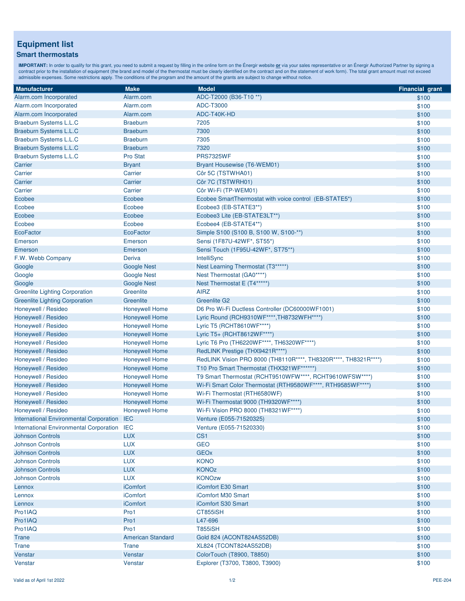## **Equipment list**

## **Smart thermostats**

**IMPORTANT:** In order to qualify for this grant, you need to submit a request by filling in the online form on the Énergir website <u>or</u> via your sales representative or an Énergir Authorized Partner by signing a<br>contract p

| <b>Manufacturer</b>                            | <b>Make</b>              | <b>Model</b>                                                    | <b>Financial grant</b> |
|------------------------------------------------|--------------------------|-----------------------------------------------------------------|------------------------|
| Alarm.com Incorporated                         | Alarm.com                | ADC-T2000 (B36-T10 **)                                          | \$100                  |
| Alarm.com Incorporated                         | Alarm.com                | ADC-T3000                                                       | \$100                  |
| Alarm.com Incorporated                         | Alarm.com                | ADC-T40K-HD                                                     | \$100                  |
| Braeburn Systems L.L.C                         | <b>Braeburn</b>          | 7205                                                            | \$100                  |
| <b>Braeburn Systems L.L.C</b>                  | <b>Braeburn</b>          | 7300                                                            | \$100                  |
| Braeburn Systems L.L.C                         | <b>Braeburn</b>          | 7305                                                            | \$100                  |
| <b>Braeburn Systems L.L.C</b>                  | <b>Braeburn</b>          | 7320                                                            | \$100                  |
| Braeburn Systems L.L.C                         | <b>Pro Stat</b>          | <b>PRS7325WF</b>                                                | \$100                  |
| Carrier                                        | <b>Bryant</b>            | Bryant Housewise (T6-WEM01)                                     | \$100                  |
| Carrier                                        | Carrier                  | Côr 5C (TSTWHA01)                                               | \$100                  |
| Carrier                                        | Carrier                  | Côr 7C (TSTWRH01)                                               | \$100                  |
| Carrier                                        | Carrier                  | Côr Wi-Fi (TP-WEM01)                                            | \$100                  |
| Ecobee                                         | Ecobee                   | Ecobee SmartThermostat with voice control (EB-STATE5*)          | \$100                  |
| Ecobee                                         | Ecobee                   | Ecobee3 (EB-STATE3**)                                           | \$100                  |
| Ecobee                                         | Ecobee                   | Ecobee3 Lite (EB-STATE3LT**)                                    | \$100                  |
| Ecobee                                         | Ecobee                   | Ecobee4 (EB-STATE4**)                                           | \$100                  |
| <b>EcoFactor</b>                               | <b>EcoFactor</b>         | Simple S100 (S100 B, S100 W, S100-**)                           | \$100                  |
| Emerson                                        | Emerson                  | Sensi (1F87U-42WF*, ST55*)                                      | \$100                  |
| Emerson                                        | Emerson                  | Sensi Touch (1F95U-42WF*, ST75**)                               | \$100                  |
| F.W. Webb Company                              | Deriva                   | IntelliSync                                                     | \$100                  |
| Google                                         | <b>Google Nest</b>       | Nest Learning Thermostat (T3*****)                              | \$100                  |
| Google                                         | <b>Google Nest</b>       | Nest Thermostat (GA0****)                                       | \$100                  |
| Google                                         | <b>Google Nest</b>       | Nest Thermostat E (T4*****)                                     | \$100                  |
| <b>Greenlite Lighting Corporation</b>          | Greenlite                | <b>AIRZ</b>                                                     | \$100                  |
| <b>Greenlite Lighting Corporation</b>          | Greenlite                | <b>Greenlite G2</b>                                             | \$100                  |
| Honeywell / Resideo                            | <b>Honeywell Home</b>    | D6 Pro Wi-Fi Ductless Controller (DC60000WF1001)                | \$100                  |
| Honeywell / Resideo                            | <b>Honeywell Home</b>    | Lyric Round (RCH9310WF****, TH8732WFH****)                      | \$100                  |
| Honeywell / Resideo                            | <b>Honeywell Home</b>    | Lyric T5 (RCHT8610WF****)                                       | \$100                  |
| Honeywell / Resideo                            | <b>Honeywell Home</b>    | Lyric T5+ (RCHT8612WF****)                                      | \$100                  |
| Honeywell / Resideo                            | <b>Honeywell Home</b>    | Lyric T6 Pro (TH6220WF****, TH6320WF****)                       | \$100                  |
| Honeywell / Resideo                            | <b>Honeywell Home</b>    | RedLINK Prestige (THX9421R****)                                 | \$100                  |
| Honeywell / Resideo                            | <b>Honeywell Home</b>    | RedLINK Vision PRO 8000 (TH8110R****, TH8320R****, TH8321R****) | \$100                  |
| Honeywell / Resideo                            | <b>Honeywell Home</b>    | T10 Pro Smart Thermostat (THX321WF******)                       | \$100                  |
| Honeywell / Resideo                            | <b>Honeywell Home</b>    | T9 Smart Thermostat (RCHT9510WFW****, RCHT9610WFSW****)         | \$100                  |
| Honeywell / Resideo                            | <b>Honeywell Home</b>    | Wi-Fi Smart Color Thermostat (RTH9580WF****, RTH9585WF****)     | \$100                  |
| Honeywell / Resideo                            | <b>Honeywell Home</b>    | Wi-Fi Thermostat (RTH6580WF)                                    | \$100                  |
| Honeywell / Resideo                            | <b>Honeywell Home</b>    | Wi-Fi Thermostat 9000 (TH9320WF****)                            | \$100                  |
| Honeywell / Resideo                            | <b>Honeywell Home</b>    | Wi-Fi Vision PRO 8000 (TH8321WF****)                            | \$100                  |
| <b>International Environmental Corporation</b> | <b>IEC</b>               | Venture (E055-71520325)                                         | \$100                  |
| International Environmental Corporation        | <b>IEC</b>               | Venture (E055-71520330)                                         | \$100                  |
| <b>Johnson Controls</b>                        | <b>LUX</b>               | CS <sub>1</sub>                                                 | \$100                  |
| <b>Johnson Controls</b>                        | <b>LUX</b>               | <b>GEO</b>                                                      | \$100                  |
| <b>Johnson Controls</b>                        | <b>LUX</b>               | <b>GEOx</b>                                                     | \$100                  |
| <b>Johnson Controls</b>                        | <b>LUX</b>               | <b>KONO</b>                                                     | \$100                  |
| <b>Johnson Controls</b>                        | <b>LUX</b>               | <b>KONOz</b>                                                    | \$100                  |
| <b>Johnson Controls</b>                        | <b>LUX</b>               | <b>KONOzw</b>                                                   | \$100                  |
| Lennox                                         | <b>iComfort</b>          | iComfort E30 Smart                                              | \$100                  |
| Lennox                                         | <b>iComfort</b>          | iComfort M30 Smart                                              | \$100                  |
| Lennox                                         | <b>iComfort</b>          | iComfort S30 Smart                                              | \$100                  |
| Pro1IAQ                                        | Pro1                     | CT855iSH                                                        | \$100                  |
| Pro1IAQ                                        | Pro1                     | L47-696                                                         | \$100                  |
| Pro1IAQ                                        | Pro1                     | <b>T855iSH</b>                                                  | \$100                  |
| Trane                                          | <b>American Standard</b> | Gold 824 (ACONT824AS52DB)                                       | \$100                  |
| Trane                                          | <b>Trane</b>             | XL824 (TCONT824AS52DB)                                          | \$100                  |
| Venstar                                        | Venstar                  | ColorTouch (T8900, T8850)                                       | \$100                  |
| Venstar                                        | Venstar                  | Explorer (T3700, T3800, T3900)                                  | \$100                  |